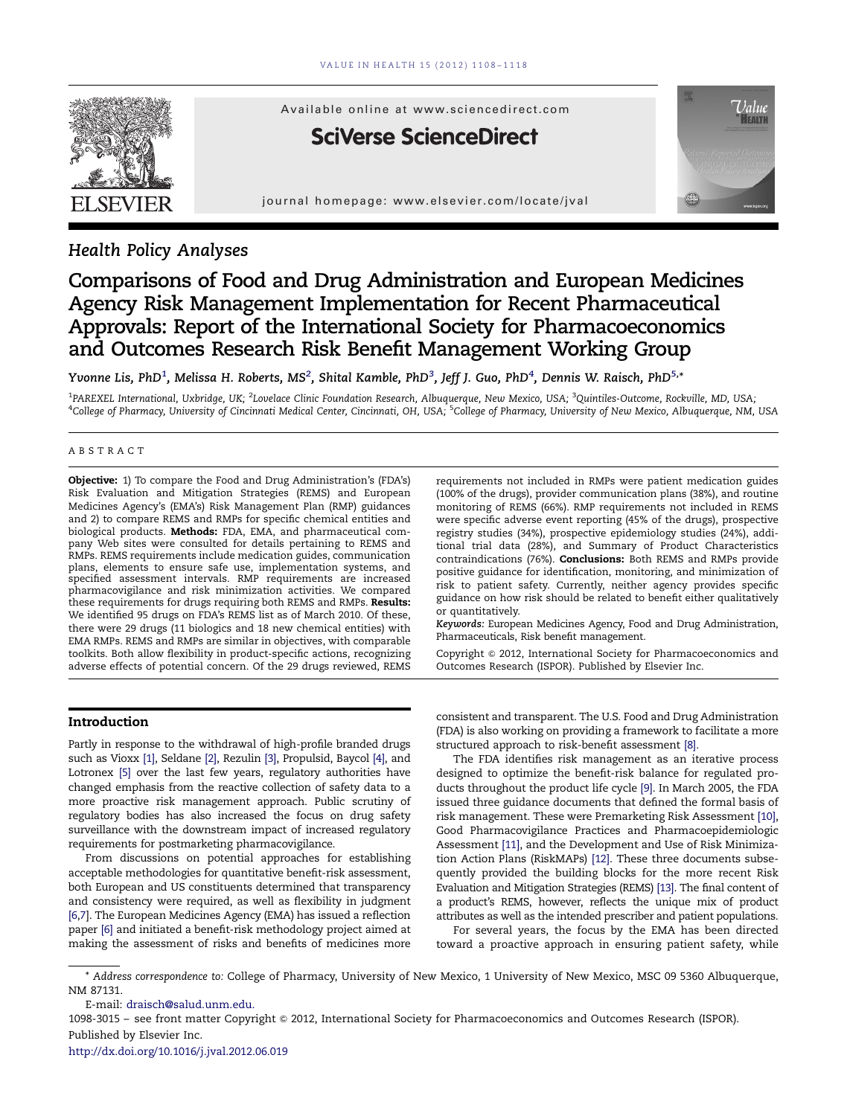

### Health Policy Analyses

## Comparisons of Food and Drug Administration and European Medicines Agency Risk Management Implementation for Recent Pharmaceutical Approvals: Report of the International Society for Pharmacoeconomics and Outcomes Research Risk Benefit Management Working Group

Yvonne Lis, PhD $^1$ , Melissa H. Roberts, MS $^2$ , Shital Kamble, PhD $^3$ , Jeff J. Guo, PhD $^4$ , Dennis W. Raisch, PhD $^{5,\ast}$ 

<sup>1</sup>PAREXEL International, Uxbridge, UK; <sup>2</sup>Lovelace Clinic Foundation Research, Albuquerque, New Mexico, USA; <sup>3</sup>Quintiles-Outcome, Rockville, MD, USA; <sup>4</sup>College of Pharmacy, University of Cincinnati Medical Center, Cincinnati, OH, USA; <sup>5</sup>College of Pharmacy, University of New Mexico, Albuquerque, NM, USA

#### ABSTRACT

Objective: 1) To compare the Food and Drug Administration's (FDA's) Risk Evaluation and Mitigation Strategies (REMS) and European Medicines Agency's (EMA's) Risk Management Plan (RMP) guidances and 2) to compare REMS and RMPs for specific chemical entities and biological products. Methods: FDA, EMA, and pharmaceutical company Web sites were consulted for details pertaining to REMS and RMPs. REMS requirements include medication guides, communication plans, elements to ensure safe use, implementation systems, and specified assessment intervals. RMP requirements are increased pharmacovigilance and risk minimization activities. We compared these requirements for drugs requiring both REMS and RMPs. Results: We identified 95 drugs on FDA's REMS list as of March 2010. Of these, there were 29 drugs (11 biologics and 18 new chemical entities) with EMA RMPs. REMS and RMPs are similar in objectives, with comparable toolkits. Both allow flexibility in product-specific actions, recognizing adverse effects of potential concern. Of the 29 drugs reviewed, REMS

#### Introduction

Partly in response to the withdrawal of high-profile branded drugs such as Vioxx [\[1\],](#page--1-0) Seldane [\[2\],](#page--1-0) Rezulin [\[3\],](#page--1-0) Propulsid, Baycol [\[4\],](#page--1-0) and Lotronex [\[5\]](#page--1-0) over the last few years, regulatory authorities have changed emphasis from the reactive collection of safety data to a more proactive risk management approach. Public scrutiny of regulatory bodies has also increased the focus on drug safety surveillance with the downstream impact of increased regulatory requirements for postmarketing pharmacovigilance.

From discussions on potential approaches for establishing acceptable methodologies for quantitative benefit-risk assessment, both European and US constituents determined that transparency and consistency were required, as well as flexibility in judgment [\[6,7](#page--1-0)]. The European Medicines Agency (EMA) has issued a reflection paper [\[6\]](#page--1-0) and initiated a benefit-risk methodology project aimed at making the assessment of risks and benefits of medicines more

requirements not included in RMPs were patient medication guides (100% of the drugs), provider communication plans (38%), and routine monitoring of REMS (66%). RMP requirements not included in REMS were specific adverse event reporting (45% of the drugs), prospective registry studies (34%), prospective epidemiology studies (24%), additional trial data (28%), and Summary of Product Characteristics contraindications (76%). Conclusions: Both REMS and RMPs provide positive guidance for identification, monitoring, and minimization of risk to patient safety. Currently, neither agency provides specific guidance on how risk should be related to benefit either qualitatively or quantitatively.

Keywords: European Medicines Agency, Food and Drug Administration, Pharmaceuticals, Risk benefit management.

Copyright © 2012, International Society for Pharmacoeconomics and Outcomes Research (ISPOR). Published by Elsevier Inc.

consistent and transparent. The U.S. Food and Drug Administration (FDA) is also working on providing a framework to facilitate a more structured approach to risk-benefit assessment [\[8\]](#page--1-0).

The FDA identifies risk management as an iterative process designed to optimize the benefit-risk balance for regulated products throughout the product life cycle [\[9\].](#page--1-0) In March 2005, the FDA issued three guidance documents that defined the formal basis of risk management. These were Premarketing Risk Assessment [\[10\],](#page--1-0) Good Pharmacovigilance Practices and Pharmacoepidemiologic Assessment [\[11\],](#page--1-0) and the Development and Use of Risk Minimization Action Plans (RiskMAPs) [\[12\].](#page--1-0) These three documents subsequently provided the building blocks for the more recent Risk Evaluation and Mitigation Strategies (REMS) [\[13\].](#page--1-0) The final content of a product's REMS, however, reflects the unique mix of product attributes as well as the intended prescriber and patient populations.

For several years, the focus by the EMA has been directed toward a proactive approach in ensuring patient safety, while

<sup>\*</sup> Address correspondence to: College of Pharmacy, University of New Mexico, 1 University of New Mexico, MSC 09 5360 Albuquerque, NM 87131.

E-mail: [draisch@salud.unm.edu.](mailto:draisch@salud.unm.edu)

<sup>1098-3015 –</sup> see front matter Copyright © 2012, International Society for Pharmacoeconomics and Outcomes Research (ISPOR). Published by Elsevier Inc.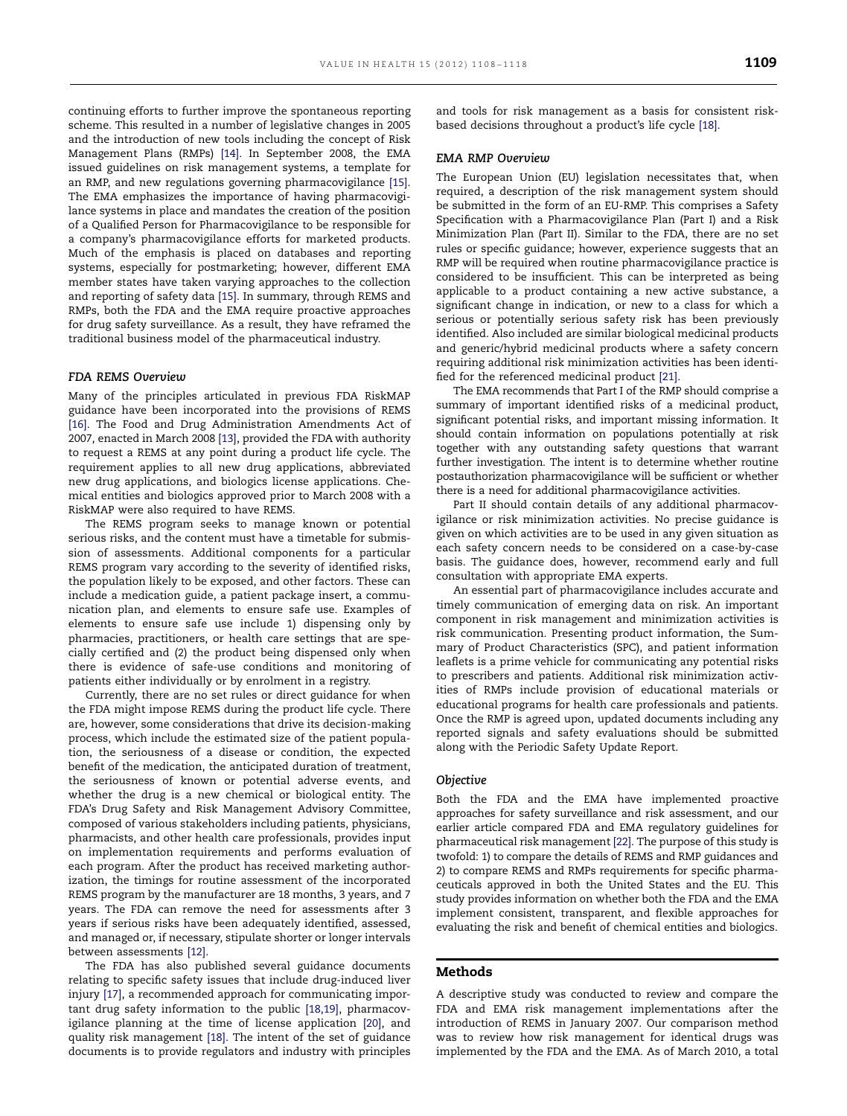continuing efforts to further improve the spontaneous reporting scheme. This resulted in a number of legislative changes in 2005 and the introduction of new tools including the concept of Risk Management Plans (RMPs) [\[14\].](#page--1-0) In September 2008, the EMA issued guidelines on risk management systems, a template for an RMP, and new regulations governing pharmacovigilance [\[15\].](#page--1-0) The EMA emphasizes the importance of having pharmacovigilance systems in place and mandates the creation of the position of a Qualified Person for Pharmacovigilance to be responsible for a company's pharmacovigilance efforts for marketed products. Much of the emphasis is placed on databases and reporting systems, especially for postmarketing; however, different EMA member states have taken varying approaches to the collection and reporting of safety data [\[15\]](#page--1-0). In summary, through REMS and RMPs, both the FDA and the EMA require proactive approaches for drug safety surveillance. As a result, they have reframed the traditional business model of the pharmaceutical industry.

#### FDA REMS Overview

Many of the principles articulated in previous FDA RiskMAP guidance have been incorporated into the provisions of REMS [\[16\]](#page--1-0). The Food and Drug Administration Amendments Act of 2007, enacted in March 2008 [\[13\],](#page--1-0) provided the FDA with authority to request a REMS at any point during a product life cycle. The requirement applies to all new drug applications, abbreviated new drug applications, and biologics license applications. Chemical entities and biologics approved prior to March 2008 with a RiskMAP were also required to have REMS.

The REMS program seeks to manage known or potential serious risks, and the content must have a timetable for submission of assessments. Additional components for a particular REMS program vary according to the severity of identified risks, the population likely to be exposed, and other factors. These can include a medication guide, a patient package insert, a communication plan, and elements to ensure safe use. Examples of elements to ensure safe use include 1) dispensing only by pharmacies, practitioners, or health care settings that are specially certified and (2) the product being dispensed only when there is evidence of safe-use conditions and monitoring of patients either individually or by enrolment in a registry.

Currently, there are no set rules or direct guidance for when the FDA might impose REMS during the product life cycle. There are, however, some considerations that drive its decision-making process, which include the estimated size of the patient population, the seriousness of a disease or condition, the expected benefit of the medication, the anticipated duration of treatment, the seriousness of known or potential adverse events, and whether the drug is a new chemical or biological entity. The FDA's Drug Safety and Risk Management Advisory Committee, composed of various stakeholders including patients, physicians, pharmacists, and other health care professionals, provides input on implementation requirements and performs evaluation of each program. After the product has received marketing authorization, the timings for routine assessment of the incorporated REMS program by the manufacturer are 18 months, 3 years, and 7 years. The FDA can remove the need for assessments after 3 years if serious risks have been adequately identified, assessed, and managed or, if necessary, stipulate shorter or longer intervals between assessments [\[12\]](#page--1-0).

The FDA has also published several guidance documents relating to specific safety issues that include drug-induced liver injury [\[17\]](#page--1-0), a recommended approach for communicating important drug safety information to the public [\[18,19\],](#page--1-0) pharmacovigilance planning at the time of license application [\[20\],](#page--1-0) and quality risk management [\[18\]](#page--1-0). The intent of the set of guidance documents is to provide regulators and industry with principles

and tools for risk management as a basis for consistent riskbased decisions throughout a product's life cycle [\[18\]](#page--1-0).

#### EMA RMP Overview

The European Union (EU) legislation necessitates that, when required, a description of the risk management system should be submitted in the form of an EU-RMP. This comprises a Safety Specification with a Pharmacovigilance Plan (Part I) and a Risk Minimization Plan (Part II). Similar to the FDA, there are no set rules or specific guidance; however, experience suggests that an RMP will be required when routine pharmacovigilance practice is considered to be insufficient. This can be interpreted as being applicable to a product containing a new active substance, a significant change in indication, or new to a class for which a serious or potentially serious safety risk has been previously identified. Also included are similar biological medicinal products and generic/hybrid medicinal products where a safety concern requiring additional risk minimization activities has been identified for the referenced medicinal product [\[21\]](#page--1-0).

The EMA recommends that Part I of the RMP should comprise a summary of important identified risks of a medicinal product, significant potential risks, and important missing information. It should contain information on populations potentially at risk together with any outstanding safety questions that warrant further investigation. The intent is to determine whether routine postauthorization pharmacovigilance will be sufficient or whether there is a need for additional pharmacovigilance activities.

Part II should contain details of any additional pharmacovigilance or risk minimization activities. No precise guidance is given on which activities are to be used in any given situation as each safety concern needs to be considered on a case-by-case basis. The guidance does, however, recommend early and full consultation with appropriate EMA experts.

An essential part of pharmacovigilance includes accurate and timely communication of emerging data on risk. An important component in risk management and minimization activities is risk communication. Presenting product information, the Summary of Product Characteristics (SPC), and patient information leaflets is a prime vehicle for communicating any potential risks to prescribers and patients. Additional risk minimization activities of RMPs include provision of educational materials or educational programs for health care professionals and patients. Once the RMP is agreed upon, updated documents including any reported signals and safety evaluations should be submitted along with the Periodic Safety Update Report.

#### Objective

Both the FDA and the EMA have implemented proactive approaches for safety surveillance and risk assessment, and our earlier article compared FDA and EMA regulatory guidelines for pharmaceutical risk management [\[22\].](#page--1-0) The purpose of this study is twofold: 1) to compare the details of REMS and RMP guidances and 2) to compare REMS and RMPs requirements for specific pharmaceuticals approved in both the United States and the EU. This study provides information on whether both the FDA and the EMA implement consistent, transparent, and flexible approaches for evaluating the risk and benefit of chemical entities and biologics.

#### Methods

A descriptive study was conducted to review and compare the FDA and EMA risk management implementations after the introduction of REMS in January 2007. Our comparison method was to review how risk management for identical drugs was implemented by the FDA and the EMA. As of March 2010, a total